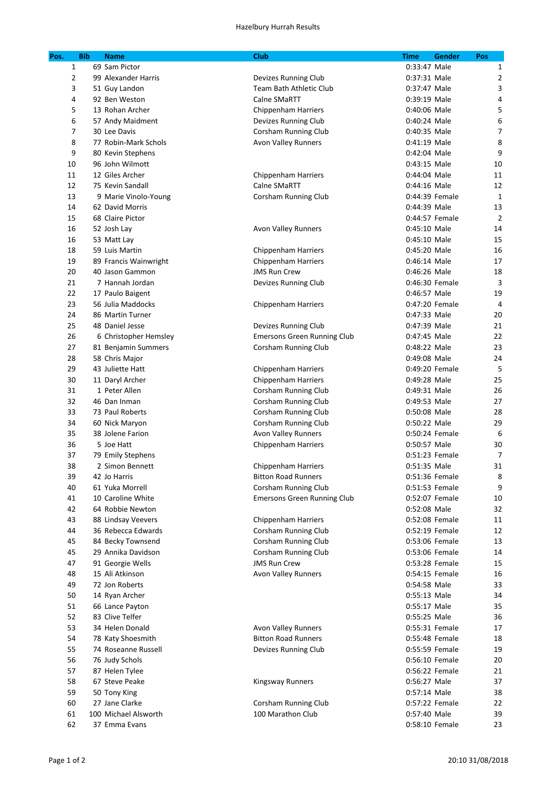| Pos.           | <b>Bib</b> | <b>Name</b>           | <b>Club</b><br><b>Time</b>         | <b>Gender</b>  | Pos            |
|----------------|------------|-----------------------|------------------------------------|----------------|----------------|
| 1              |            | 69 Sam Pictor         |                                    | 0:33:47 Male   | 1              |
| $\overline{2}$ |            | 99 Alexander Harris   | Devizes Running Club               | 0:37:31 Male   | $\overline{2}$ |
| 3              |            | 51 Guy Landon         | Team Bath Athletic Club            | 0:37:47 Male   | 3              |
| 4              |            | 92 Ben Weston         | Calne SMaRTT                       | 0:39:19 Male   | 4              |
| 5              |            | 13 Rohan Archer       | Chippenham Harriers                | 0:40:06 Male   | 5              |
| 6              |            | 57 Andy Maidment      | Devizes Running Club               | 0:40:24 Male   | 6              |
| 7              |            | 30 Lee Davis          | Corsham Running Club               | 0:40:35 Male   | $\overline{7}$ |
| 8              |            | 77 Robin-Mark Schols  | <b>Avon Valley Runners</b>         | 0:41:19 Male   | 8              |
| 9              |            | 80 Kevin Stephens     |                                    | 0:42:04 Male   | 9              |
| 10             |            | 96 John Wilmott       |                                    | 0:43:15 Male   | 10             |
| 11             |            | 12 Giles Archer       | <b>Chippenham Harriers</b>         | 0:44:04 Male   | 11             |
| 12             |            | 75 Kevin Sandall      | Calne SMaRTT                       | 0:44:16 Male   | 12             |
| 13             |            | 9 Marie Vinolo-Young  | Corsham Running Club               | 0:44:39 Female | $\mathbf{1}$   |
| 14             |            | 62 David Morris       |                                    | 0:44:39 Male   | 13             |
| 15             |            | 68 Claire Pictor      |                                    | 0:44:57 Female | $\overline{2}$ |
| 16             |            | 52 Josh Lay           | Avon Valley Runners                | 0:45:10 Male   | 14             |
| 16             |            | 53 Matt Lay           |                                    | 0:45:10 Male   | 15             |
| 18             |            | 59 Luis Martin        | Chippenham Harriers                | 0:45:20 Male   | 16             |
| 19             |            | 89 Francis Wainwright | <b>Chippenham Harriers</b>         | 0:46:14 Male   | 17             |
| 20             |            | 40 Jason Gammon       | <b>JMS Run Crew</b>                | 0:46:26 Male   | 18             |
| 21             |            | 7 Hannah Jordan       |                                    | 0:46:30 Female | 3              |
| 22             |            | 17 Paulo Baigent      | Devizes Running Club               | 0:46:57 Male   | 19             |
| 23             |            | 56 Julia Maddocks     |                                    | 0:47:20 Female | 4              |
|                |            |                       | <b>Chippenham Harriers</b>         | 0:47:33 Male   |                |
| 24             |            | 86 Martin Turner      |                                    |                | 20<br>21       |
| 25             |            | 48 Daniel Jesse       | Devizes Running Club               | 0:47:39 Male   |                |
| 26             |            | 6 Christopher Hemsley | <b>Emersons Green Running Club</b> | 0:47:45 Male   | 22<br>23       |
| 27             |            | 81 Benjamin Summers   | Corsham Running Club               | 0:48:22 Male   |                |
| 28             |            | 58 Chris Major        |                                    | 0:49:08 Male   | 24             |
| 29             |            | 43 Juliette Hatt      | Chippenham Harriers                | 0:49:20 Female | 5              |
| 30             |            | 11 Daryl Archer       | <b>Chippenham Harriers</b>         | 0:49:28 Male   | 25             |
| 31             |            | 1 Peter Allen         | Corsham Running Club               | 0:49:31 Male   | 26             |
| 32             |            | 46 Dan Inman          | Corsham Running Club               | 0:49:53 Male   | 27             |
| 33             |            | 73 Paul Roberts       | Corsham Running Club               | 0:50:08 Male   | 28             |
| 34             |            | 60 Nick Maryon        | Corsham Running Club               | 0:50:22 Male   | 29             |
| 35             |            | 38 Jolene Farion      | <b>Avon Valley Runners</b>         | 0:50:24 Female | 6              |
| 36             |            | 5 Joe Hatt            | <b>Chippenham Harriers</b>         | 0:50:57 Male   | 30             |
| 37             |            | 79 Emily Stephens     |                                    | 0:51:23 Female | $\overline{7}$ |
| 38             |            | 2 Simon Bennett       | Chippenham Harriers                | 0:51:35 Male   | 31             |
| 39             |            | 42 Jo Harris          | <b>Bitton Road Runners</b>         | 0:51:36 Female | 8              |
| 40             |            | 61 Yuka Morrell       | <b>Corsham Running Club</b>        | 0:51:53 Female | 9              |
| 41             |            | 10 Caroline White     | <b>Emersons Green Running Club</b> | 0:52:07 Female | 10             |
| 42             |            | 64 Robbie Newton      |                                    | 0:52:08 Male   | 32             |
| 43             |            | 88 Lindsay Veevers    | <b>Chippenham Harriers</b>         | 0:52:08 Female | 11             |
| 44             |            | 36 Rebecca Edwards    | Corsham Running Club               | 0:52:19 Female | 12             |
| 45             |            | 84 Becky Townsend     | Corsham Running Club               | 0:53:06 Female | 13             |
| 45             |            | 29 Annika Davidson    | Corsham Running Club               | 0:53:06 Female | 14             |
| 47             |            | 91 Georgie Wells      | <b>JMS Run Crew</b>                | 0:53:28 Female | 15             |
| 48             |            | 15 Ali Atkinson       | <b>Avon Valley Runners</b>         | 0:54:15 Female | 16             |
| 49             |            | 72 Jon Roberts        |                                    | 0:54:58 Male   | 33             |
| 50             |            | 14 Ryan Archer        |                                    | 0:55:13 Male   | 34             |
| 51             |            | 66 Lance Payton       |                                    | 0:55:17 Male   | 35             |
| 52             |            | 83 Clive Telfer       |                                    | 0:55:25 Male   | 36             |
| 53             |            | 34 Helen Donald       | <b>Avon Valley Runners</b>         | 0:55:31 Female | 17             |
| 54             |            | 78 Katy Shoesmith     | <b>Bitton Road Runners</b>         | 0:55:48 Female | 18             |
| 55             |            | 74 Roseanne Russell   | Devizes Running Club               | 0:55:59 Female | 19             |
| 56             |            | 76 Judy Schols        |                                    | 0:56:10 Female | 20             |
| 57             |            | 87 Helen Tylee        |                                    | 0:56:22 Female | 21             |
| 58             |            | 67 Steve Peake        | <b>Kingsway Runners</b>            | 0:56:27 Male   | 37             |
| 59             |            | 50 Tony King          |                                    | 0:57:14 Male   | 38             |
| 60             |            | 27 Jane Clarke        | Corsham Running Club               | 0:57:22 Female | 22             |
| 61             |            | 100 Michael Alsworth  | 100 Marathon Club                  | 0:57:40 Male   | 39             |
| 62             |            | 37 Emma Evans         |                                    | 0:58:10 Female | 23             |